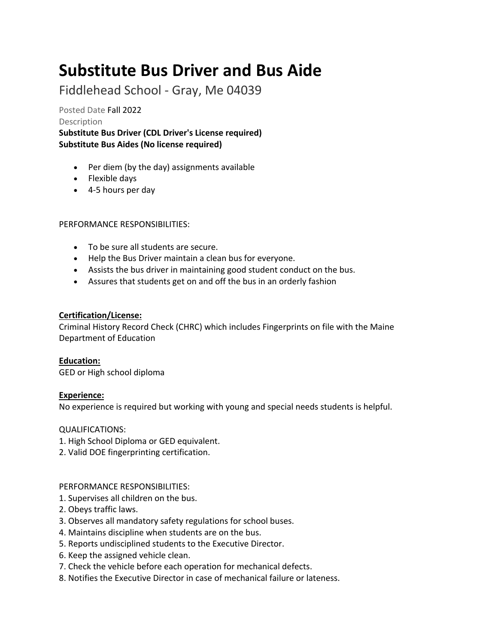# **Substitute Bus Driver and Bus Aide**

Fiddlehead School - Gray, Me 04039

Posted Date Fall 2022 Description

**Substitute Bus Driver (CDL Driver's License required) Substitute Bus Aides (No license required)**

- Per diem (by the day) assignments available
- Flexible days
- 4-5 hours per day

# PERFORMANCE RESPONSIBILITIES:

- To be sure all students are secure.
- Help the Bus Driver maintain a clean bus for everyone.
- Assists the bus driver in maintaining good student conduct on the bus.
- Assures that students get on and off the bus in an orderly fashion

### **Certification/License:**

Criminal History Record Check (CHRC) which includes Fingerprints on file with the Maine Department of Education

# **Education:**

GED or High school diploma

# **Experience:**

No experience is required but working with young and special needs students is helpful.

QUALIFICATIONS:

- 1. High School Diploma or GED equivalent.
- 2. Valid DOE fingerprinting certification.

#### PERFORMANCE RESPONSIBILITIES:

- 1. Supervises all children on the bus.
- 2. Obeys traffic laws.
- 3. Observes all mandatory safety regulations for school buses.
- 4. Maintains discipline when students are on the bus.
- 5. Reports undisciplined students to the Executive Director.
- 6. Keep the assigned vehicle clean.
- 7. Check the vehicle before each operation for mechanical defects.
- 8. Notifies the Executive Director in case of mechanical failure or lateness.